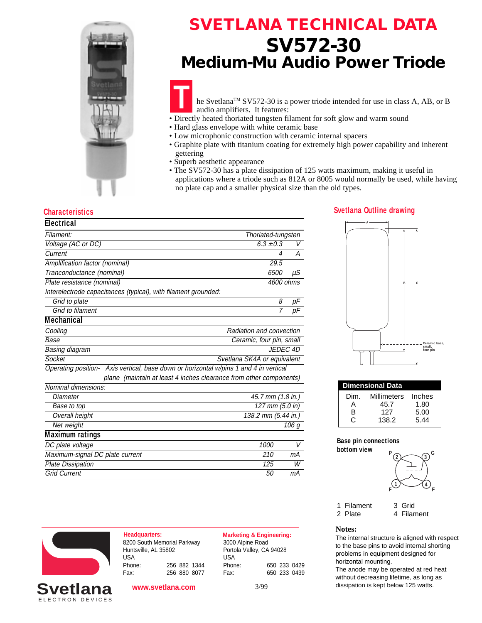

## **SVETLANA TECHNICAL DATA SV572-30 Medium-Mu Audio Power Triode**

he Svetlana™ SV572-30 is a power triode intended for use in class A, AB, or B audio amplifiers. It features:

- **T** • Directly heated thoriated tungsten filament for soft glow and warm sound
- Hard glass envelope with white ceramic base
- Low microphonic construction with ceramic internal spacers
- Graphite plate with titanium coating for extremely high power capability and inherent gettering
- Superb aesthetic appearance
- The SV572-30 has a plate dissipation of 125 watts maximum, making it useful in applications where a triode such as 812A or 8005 would normally be used, while having no plate cap and a smaller physical size than the old types.

### **Characteristics Svetlana Outline drawing**

| <b>Electrical</b>                                                                     |                             |       |  |
|---------------------------------------------------------------------------------------|-----------------------------|-------|--|
| Filament:                                                                             | Thoriated-tungsten          |       |  |
| Voltage (AC or DC)                                                                    | $6.3 \pm 0.3$               | V     |  |
| Current                                                                               | 4                           | А     |  |
| Amplification factor (nominal)                                                        | 29.5                        |       |  |
| Tranconductance (nominal)                                                             | 6500                        | иS    |  |
| Plate resistance (nominal)                                                            | 4600 ohms                   |       |  |
| Interelectrode capacitances (typical), with filament grounded:                        |                             |       |  |
| Grid to plate                                                                         | 8                           | pF    |  |
| Grid to filament                                                                      | 7                           | рF    |  |
| <b>Mechanical</b>                                                                     |                             |       |  |
| Cooling                                                                               | Radiation and convection    |       |  |
| Base                                                                                  | Ceramic, four pin, small    |       |  |
| Basing diagram                                                                        | <b>JEDEC 4D</b>             |       |  |
| Socket                                                                                | Svetlana SK4A or equivalent |       |  |
| Operating position- Axis vertical, base down or horizontal w/pins 1 and 4 in vertical |                             |       |  |
| plane (maintain at least 4 inches clearance from other components)                    |                             |       |  |
| Nominal dimensions:                                                                   |                             |       |  |
| Diameter                                                                              | 45.7 mm (1.8 in.)           |       |  |
| 127 mm (5.0 in)<br>Base to top                                                        |                             |       |  |
| Overall height<br>138.2 mm (5.44 in.)                                                 |                             |       |  |
| Net weight                                                                            |                             | 106 a |  |
| <b>Maximum ratings</b>                                                                |                             |       |  |
| DC plate voltage                                                                      | 1000                        | V     |  |
| Maximum-signal DC plate current<br>210                                                |                             |       |  |



| <b>Dimensional Data</b> |             |        |  |  |  |  |
|-------------------------|-------------|--------|--|--|--|--|
| Dim.                    | Millimeters | Inches |  |  |  |  |
|                         | 45.7        | 1.80   |  |  |  |  |
| R                       | 127         | 5.00   |  |  |  |  |
|                         | 138.2       | 544    |  |  |  |  |

#### **Base pin connections bottom view**



1 Filament 3 Grid

2 Plate 4 Filament

#### **Notes:**

The internal structure is aligned with respect to the base pins to avoid internal shorting problems in equipment designed for horizontal mounting.

The anode may be operated at red heat without decreasing lifetime, as long as 3/99 dissipation is kept below 125 watts.



ELECTRON DEVICES **Svetlana**

**Headquarters: Marketing & Engineering:** 8200 South Memorial Parkway Huntsville, AL 35802 USA Phone: 256 882 1344 Fax: 256 880 8077

Plate Dissipation and the United States of the United States of the United States of the United States of the U Grid Current 50 mA

**www.svetlana.com**

3000 Alpine Road Portola Valley, CA 94028 USA Phone: 650 233 0429

Fax: 650 233 0439